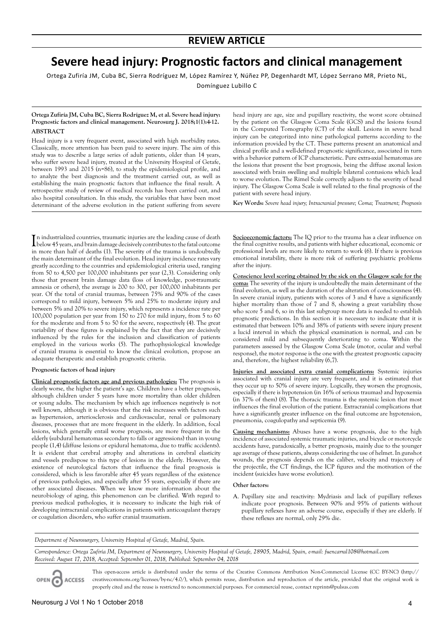# **Severe head injury: Prognostic factors and clinical management**

Ortega Zufiría JM, Cuba BC, Sierra Rodríguez M, López Ramírez Y, Núñez PP, Degenhardt MT, López Serrano MR, Prieto NL,

Domínguez Lubillo C

## **Ortega Zufiría JM, Cuba BC, Sierra Rodríguez M, et al. Severe head injury: Prognostic factors and clinical management. Neurosurg J. 2018;1(1):4-12. ABSTRACT**

Head injury is a very frequent event, associated with high morbidity rates. Classically, more attention has been paid to severe injury. The aim of this study was to describe a large series of adult patients, older than 14 years, who suffer severe head injury, treated at the University Hospital of Getafe, between 1993 and 2015 (n=86), to study the epidemiological profile, and to analyze the best diagnosis and the treatment carried out, as well as establishing the main prognostic factors that influence the final result. A retrospective study of review of medical records has been carried out, and also hospital consultation. In this study, the variables that have been most determinant of the adverse evolution in the patient suffering from severe

In industrialized countries, traumatic injuries are the leading cause of death<br>below 45 years, and brain damage decisively contributes to the fatal outcome<br>mixtures below 45 years, and brain damage decisively contributes to the fatal outcome in more than half of deaths (1). The severity of the trauma is undoubtedly the main determinant of the final evolution. Head injury incidence rates vary greatly according to the countries and epidemiological criteria used, ranging from 50 to 4,500 per 100,000 inhabitants per year (2,3). Considering only those that present brain damage data (loss of knowledge, post-traumatic amnesia or others), the average is 200 to 300, per 100,000 inhabitants per year. Of the total of cranial traumas, between 75% and 90% of the cases correspond to mild injury, between 5% and 25% to moderate injury and between 5% and 20% to severe injury, which represents a incidence rate per 100,000 population per year from 150 to 270 for mild injury, from 5 to 60 for the moderate and from 5 to 50 for the severe, respectively (4). The great variability of these figures is explained by the fact that they are decisively influenced by the rules for the inclusion and classification of patients employed in the various works (5). The pathophysiological knowledge of cranial trauma is essential to know the clinical evolution, propose an adequate therapeutic and establish prognostic criteria.

# **Prognostic factors of head injury**

**Clinical prognostic factors age and previous pathologies:** The prognosis is clearly worse, the higher the patient's age. Children have a better prognosis, although children under 5 years have more mortality than older children or young adults. The mechanism by which age influences negatively is not well known, although it is obvious that the risk increases with factors such as hypertension, arteriosclerosis and cardiovascular, renal or pulmonary diseases, processes that are more frequent in the elderly. In addition, focal lesions, which generally entail worse prognosis, are more frequent in the elderly (subdural hematomas secondary to falls or aggressions) than in young people (1,4) (diffuse lesions or epidural hematoma, due to traffic accidents). It is evident that cerebral atrophy and alterations in cerebral elasticity and vessels predispose to this type of lesions in the elderly. However, the existence of neurological factors that influence the final prognosis is considered, which is less favorable after 45 years regardless of the existence of previous pathologies, and especially after 55 years, especially if there are other associated diseases. When we know more information about the neurobiology of aging, this phenomenon can be clarified. With regard to previous medical pathologies, it is necessary to indicate the high risk of developing intracranial complications in patients with anticoagulant therapy or coagulation disorders, who suffer cranial traumatism.

head injury are age, size and pupillary reactivity, the worst score obtained by the patient on the Glasgow Coma Scale (GCS) and the lesions found in the Computed Tomography (CT) of the skull. Lesions in severe head injury can be categorized into nine pathological patterns according to the information provided by the CT. These patterns present an anatomical and clinical profile and a well-defined prognostic significance, associated in turn with a behavior pattern of ICP characteristic. Pure extra-axial hematomas are the lesions that present the best prognosis, being the diffuse axonal lesion associated with brain swelling and multiple bilateral contusions which lead to worse evolution. The Rimel Scale correctly adjusts to the severity of head injury. The Glasgow Coma Scale is well related to the final prognosis of the patient with severe head injury.

**Key Words:** *Severe head injury; Intracranial pressure; Coma; Treatment; Prognosis*

**Socioeconomic factors:** The IQ prior to the trauma has a clear influence on the final cognitive results, and patients with higher educational, economic or professional levels are more likely to return to work (6). If there is previous emotional instability, there is more risk of suffering psychiatric problems after the injury.

**Conscience level scoring obtained by the sick on the Glasgow scale for the coma:** The severity of the injury is undoubtedly the main determinant of the final evolution, as well as the duration of the alteration of consciousness (4). In severe cranial injury, patients with scores of 3 and 4 have a significantly higher mortality than those of 7 and 8, showing a great variability those who score 5 and 6, so in this last subgroup more data is needed to establish prognostic predictions. In this section it is necessary to indicate that it is estimated that between 10% and 38% of patients with severe injury present a lucid interval in which the physical examination is normal, and can be considered mild and subsequently deteriorating to coma. Within the parameters assessed by the Glasgow Coma Scale (motor, ocular and verbal response), the motor response is the one with the greatest prognostic capacity and, therefore, the highest reliability (6,7).

**Injuries and associated extra cranial complications:** Systemic injuries associated with cranial injury are very frequent, and it is estimated that they occur up to 50% of severe injury. Logically, they worsen the prognosis, especially if there is hypotension (in 16% of serious traumas) and hypoxemia (in 37% of them) (8). The thoracic trauma is the systemic lesion that most influences the final evolution of the patient. Extracranial complications that have a significantly greater influence on the final outcome are hypotension, pneumonia, coagulopathy and septicemia (9).

**Causing mechanisms:** Abuses have a worse prognosis, due to the high incidence of associated systemic traumatic injuries, and bicycle or motorcycle accidents have, paradoxically, a better prognosis, mainly due to the younger age average of these patients, always considering the use of helmet. In gunshot wounds, the prognosis depends on the caliber, velocity and trajectory of the projectile, the CT findings, the ICP figures and the motivation of the incident (suicides have worse evolution).

## **Other factors:**

A. Pupillary size and reactivity: Mydriasis and lack of pupillary reflexes indicate poor prognosis. Between 90% and 95% of patients without pupillary reflexes have an adverse course, especially if they are elderly. If these reflexes are normal, only 29% die.

*Department of Neurosurgery, University Hospital of Getafe, Madrid, Spain.*

*Correspondence: Ortega Zufiría JM, Department of Neurosurgery, University Hospital of Getafe, 28905, Madrid, Spain, e-mail: fuencarral108@hotmail.com Received: August 17, 2018, Accepted: September 01, 2018, Published: September 04, 2018*

This open-access article is distributed under the terms of the Creative Commons Attribution Non-Commercial License (CC BY-NC) (http:// creativecommons.org/licenses/by-nc/4.0/), which permits reuse, distribution and reproduction of the article, provided that the original work is **ACCESS** properly cited and the reuse is restricted to noncommercial purposes. For commercial reuse, contact reprints@pulsus.com

OPEN C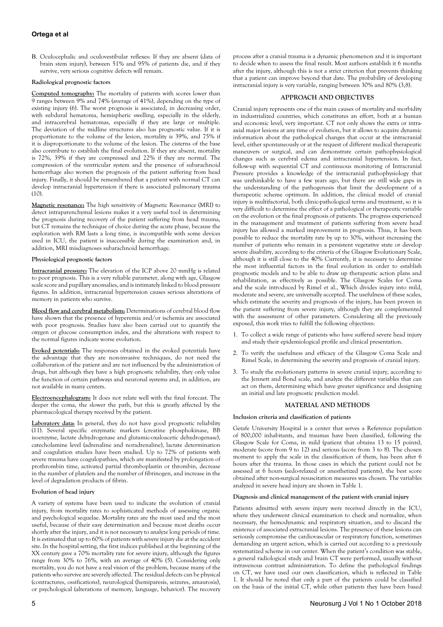# **Ortega et al**

B. Oculocephalic and oculovestibular reflexes: If they are absent (data of brain stem injury), between 51% and 95% of patients die, and if they survive, very serious cognitive defects will remain.

## **Radiological prognostic factors**

**Computed tomography:** The mortality of patients with scores lower than 9 ranges between 9% and 74% (average of 41%), depending on the type of existing injury (6). The worst prognosis is associated, in decreasing order, with subdural hematoma, hemispheric swelling, especially in the elderly, and intracerebral hematomas, especially if they are large or multiple. The deviation of the midline structures also has prognostic value. If it is proportionate to the volume of the lesion, mortality is 39%, and 75% if it is disproportionate to the volume of the lesion. The cisterns of the base also contribute to establish the final evolution. If they are absent, mortality is 72%, 39% if they are compressed and 22% if they are normal. The compression of the ventricular system and the presence of subarachnoid hemorrhage also worsen the prognosis of the patient suffering from head injury. Finally, it should be remembered that a patient with normal CT can develop intracranial hypertension if there is associated pulmonary trauma (10).

**Magnetic resonance:** The high sensitivity of Magnetic Resonance (MRI) to detect intraparenchymal lesions makes it a very useful tool in determining the prognosis during recovery of the patient suffering from head trauma, but CT remains the technique of choice during the acute phase, because the exploration with RM lasts a long time, is incompatible with some devices used in ICU, the patient is inaccessible during the examination and, in addition, MRI misdiagnoses subarachnoid hemorrhage.

## **Physiological prognostic factors**

**Intracranial pressure:** The elevation of the ICP above 20 mmHg is related to poor prognosis. This is a very reliable parameter, along with age, Glasgow scale score and pupillary anomalies, and is intimately linked to blood pressure figures. In addition, intracranial hypertension causes serious alterations of memory in patients who survive.

**Blood flow and cerebral metabolism:** Determinations of cerebral blood flow have shown that the presence of hyperemia and/or ischemia are associated with poor prognosis. Studies have also been carried out to quantify the oxygen or glucose consumption index, and the alterations with respect to the normal figures indicate worse evolution.

**Evoked potentials:** The responses obtained in the evoked potentials have the advantage that they are non-invasive techniques, do not need the collaboration of the patient and are not influenced by the administration of drugs, but although they have a high prognostic reliability, they only value the function of certain pathways and neuronal systems and, in addition, are not available in many centers.

**Electroencephalogram:** It does not relate well with the final forecast. The deeper the coma, the slower the path, but this is greatly affected by the pharmacological therapy received by the patient.

**Laboratory data:** In general, they do not have good prognostic reliability (11). Several specific enzymatic markers (creatine phosphokinase, BB isoenzyme, lactate dehydrogenase and glutamic-oxaloacetic dehydrogenase), catecholamine level (adrenaline and noradrenaline), lactate determination and coagulation studies have been studied. Up to 72% of patients with severe trauma have coagulopathies, which are manifested by prolongation of prothrombin time, activated partial thromboplastin or thrombin, decrease in the number of platelets and the number of fibrinogen, and increase in the level of degradation products of fibrin.

# **Evolution of head injury**

A variety of systems have been used to indicate the evolution of cranial injury, from mortality rates to sophisticated methods of assessing organic and psychological sequelae. Mortality rates are the most used and the most useful, because of their easy determination and because most deaths occur shortly after the injury, and it is not necessary to analyze long periods of time. It is estimated that up to 60% of patients with severe injury die at the accident site. In the hospital setting, the first indices published at the beginning of the XX century gave a 70% mortality rate for severe injury, although the figures range from 30% to 76%, with an average of 40% (5). Considering only mortality, you do not have a real vision of the problem, because many of the patients who survive are severely affected. The residual defects can be physical (contractures, ossifications), neurological (hemiparesis, seizures, amaurosis), or psychological (alterations of memory, language, behavior). The recovery

process after a cranial trauma is a dynamic phenomenon and it is important to decide when to assess the final result. Most authors establish it 6 months after the injury, although this is not a strict criterion that prevents thinking that a patient can improve beyond that date. The probability of developing intracranial injury is very variable, ranging between 30% and 80% (3,8).

# **APPROACH AND OBJECTIVES**

Cranial injury represents one of the main causes of mortality and morbidity in industrialized countries, which constitutes an effort, both at a human and economic level, very important. CT not only shows the extra or intraaxial major lesions at any time of evolution, but it allows to acquire dynamic information about the pathological changes that occur at the intracranial level, either spontaneously or at the request of different medical therapeutic maneuvers or surgical, and can demonstrate certain pathophysiological changes such as cerebral edema and intracranial hypertension. In fact, follow-up with sequential CT and continuous monitoring of Intracranial Pressure provides a knowledge of the intracranial pathophysiology that was unthinkable to have a few years ago, but there are still wide gaps in the understanding of the pathogenesis that limit the development of a therapeutic scheme optimum. In addition, the clinical model of cranial injury is multifactorial, both clinic-pathological terms and treatment, so it is very difficult to determine the effect of a pathological or therapeutic variable on the evolution or the final prognosis of patients. The progress experienced in the management and treatment of patients suffering from severe head injury has allowed a marked improvement in prognosis. Thus, it has been possible to reduce the mortality rate by up to 30%, without increasing the number of patients who remain in a persistent vegetative state or develop severe disability, according to the criteria of the Glasgow Evolutionary Scale, although it is still close to the 40% Currently, it is necessary to determine the most influential factors in the final evolution in order to establish prognostic models and to be able to draw up therapeutic action plans and rehabilitation, as effectively as possible. The Glasgow Scales for Coma and the scale introduced by Rimel et al., Which divides injury into mild, moderate and severe, are universally accepted. The usefulness of these scales, which estimate the severity and prognosis of the injury, has been proven in the patient suffering from severe injury, although they are complemented with the assessment of other parameters. Considering all the previously exposed, this work tries to fulfill the following objectives:

- 1. To collect a wide range of patients who have suffered severe head injury and study their epidemiological profile and clinical presentation.
- 2. To verify the usefulness and efficacy of the Glasgow Coma Scale and Rimel Scale, in determining the severity and prognosis of cranial injury.
- 3. To study the evolutionary patterns in severe cranial injury, according to the Jennett and Bond scale, and analyze the different variables that can act on them, determining which have greater significance and designing an initial and late prognostic prediction model.

# **MATERIAL AND METHODS**

# **Inclusion criteria and classification of patients**

Getafe University Hospital is a center that serves a Reference population of 800,000 inhabitants, and traumas have been classified, following the Glasgow Scale for Coma, in mild (patient that obtains 13 to 15 points), moderate (score from 9 to 12) and serious (score from 3 to 8). The chosen moment to apply the scale in the classification of them, has been after 6 hours after the trauma. In those cases in which the patient could not be assessed at 6 hours (sedo-relaxed or anesthetized patients), the best score obtained after non-surgical resuscitation measures was chosen. The variables analyzed in severe head injury are shown in Table 1.

## **Diagnosis and clinical management of the patient with cranial injury**

Patients admitted with severe injury were received directly in the ICU, where they underwent clinical examination to check and normalize, when necessary, the hemodynamic and respiratory situation, and to discard the existence of associated extracranial lesions. The presence of these lesions can seriously compromise the cardiovascular or respiratory function, sometimes demanding an urgent action, which is carried out according to a previously systematized scheme in our center. When the patient's condition was stable, a general radiological study and brain CT were performed, usually without intravenous contrast administration. To define the pathological findings on CT, we have used our own classification, which is reflected in Table 1. It should be noted that only a part of the patients could be classified on the basis of the initial CT, while other patients they have been based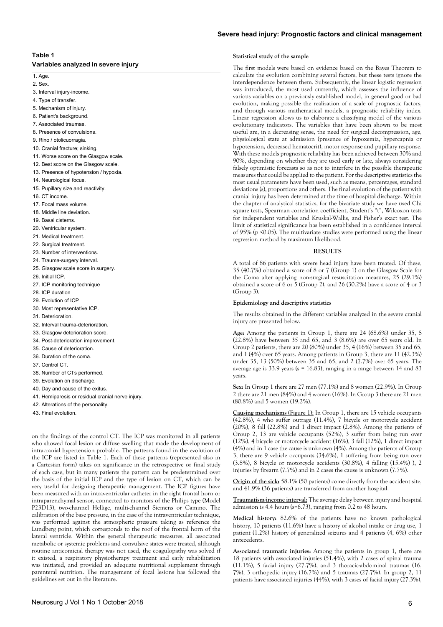# **Table 1**

| Variables analyzed in severe injury |  |
|-------------------------------------|--|
|-------------------------------------|--|

1. Age. 2. Sex.

- 
- 3. Interval injury-income.
- 4. Type of transfer. 5. Mechanism of injury.
- 6. Patient's background.
- 7. Associated traumas.
- 8. Presence of convulsions.
- 9. Rino / otolicuorragia.
- 10. Cranial fracture; sinking.
- 11. Worse score on the Glasgow scale.
- 12. Best score on the Glasgow scale.
- 13. Presence of hypotension / hypoxia.
- 14. Neurological focus.
- 15. Pupillary size and reactivity.
- 16. CT income.
- 17. Focal mass volume.
- 18. Middle line deviation.
- 19. Basal cisterns.
- 20. Ventricular system.
- 21. Medical treatment.
- 22. Surgical treatment.
- 23. Number of interventions.
- 24. Trauma-surgery interval.
- 25. Glasgow scale score in surgery.
- 26. Initial ICP.
- 27. ICP monitoring technique
- 28. ICP duration
- 29. Evolution of ICP
- 30. Most representative ICP.
- 31. Deterioration.
- 32. Interval trauma-deterioration.
- 33. Glasgow deterioration score.
- 34. Post-deterioration improvement.
- 35. Cause of deterioration.
- 36. Duration of the coma.
- 37. Control CT.
- 38. Number of CTs performed.
- 39. Evolution on discharge.
- 40. Day and cause of the exitus.
- 41. Hemiparesis or residual cranial nerve injury.
- 42. Alterations of the personality.
- 43. Final evolution.

on the findings of the control CT. The ICP was monitored in all patients who showed focal lesion or diffuse swelling that made the development of intracranial hypertension probable. The patterns found in the evolution of the ICP are listed in Table 1. Each of these patterns (represented also in a Cartesian form) takes on significance in the retrospective or final study of each case, but in many patients the pattern can be predetermined over the basis of the initial ICP and the type of lesion on CT, which can be very useful for designing therapeutic management. The ICP figures have been measured with an intraventricular catheter in the right frontal horn or intraparenchymal sensor, connected to monitors of the Philips type (Model P23D13), two-channel Hellige, multi-channel Siemens or Camino. The calibration of the base pressure, in the case of the intraventricular technique, was performed against the atmospheric pressure taking as reference the Lundberg point, which corresponds to the roof of the frontal horn of the lateral ventricle. Within the general therapeutic measures, all associated metabolic or systemic problems and convulsive states were treated, although routine anticomicial therapy was not used, the coagulopathy was solved if it existed, a respiratory physiotherapy treatment and early rehabilitation was initiated, and provided an adequate nutritional supplement through parenteral nutrition. The management of focal lesions has followed the guidelines set out in the literature.

# **Severe head injury: Prognostic factors and clinical management**

#### **Statistical study of the sample**

The first models were based on evidence based on the Bayes Theorem to calculate the evolution combining several factors, but these tests ignore the interdependence between them. Subsequently, the linear logistic regression was introduced, the most used currently, which assesses the influence of various variables on a previously established model, in general good or bad evolution, making possible the realization of a scale of prognostic factors, and through various mathematical models, a prognostic reliability index. Linear regression allows us to elaborate a classifying model of the various evolutionary indicators. The variables that have been shown to be most useful are, in a decreasing sense, the need for surgical decompression, age, physiological state at admission (presence of hypoxemia, hypercapnia or hypotension, decreased hematocrit), motor response and pupillary response. With these models prognostic reliability has been achieved between 30% and 90%, depending on whether they are used early or late, always considering falsely optimistic forecasts so as not to interfere in the possible therapeutic measures that could be applied to the patient. For the descriptive statistics the most usual parameters have been used, such as means, percentages, standard deviations (s), proportions and others. The final evolution of the patient with cranial injury has been determined at the time of hospital discharge. Within the chapter of analytical statistics, for the bivariate study we have used Chi square tests, Spearman correlation coefficient, Student's "t", Wilcoxon tests for independent variables and Kruskal-Wallis, and Fisher's exact test. The limit of statistical significance has been established in a confidence interval of 95% (p <0.05). The multivariate studies were performed using the linear regression method by maximum likelihood.

#### **RESULTS**

A total of 86 patients with severe head injury have been treated. Of these, 35 (40.7%) obtained a score of 8 or 7 (Group 1) on the Glasgow Scale for the Coma after applying non-surgical resuscitation measures, 25 (29.1%) obtained a score of 6 or 5 (Group 2), and 26 (30.2%) have a score of 4 or 3 (Group 3).

#### **Epidemiology and descriptive statistics**

The results obtained in the different variables analyzed in the severe cranial injury are presented below.

**Age:** Among the patients in Group 1, there are 24 (68.6%) under 35, 8 (22.8%) have between 35 and 65, and 3 (8.6%) are over 65 years old. In Group 2 patients, there are 20 (80%) under 35, 4 (16%) between 35 and 65, and 1 (4%) over 65 years. Among patients in Group 3, there are 11 (42.3%) under 35, 13 (50%) between 35 and 65, and 2 (7.7%) over 65 years. The average age is 33.9 years (s = 16.83), ranging in a range between 14 and 83 years.

**Sex:** In Group 1 there are 27 men (77.1%) and 8 women (22.9%). In Group 2 there are 21 men (84%) and 4 women (16%). In Group 3 there are 21 men (80.8%) and 5 women (19.2%).

**Causing mechanisms** (Figure 1): In Group 1, there are 15 vehicle occupants (42.8%), 4 who suffer outrage (11.4%), 7 bicycle or motorcycle accident (20%), 8 fall (22.8%) and 1 direct impact (2.8%). Among the patients of Group 2, 13 are vehicle occupants (52%), 3 suffer from being run over (12%), 4 bicycle or motorcycle accident (16%), 3 fall (12%), 1 direct impact (4%) and in 1 case the cause is unknown (4%). Among the patients of Group 3, there are 9 vehicle occupants (34.6%), 1 suffering from being run over (3.8%), 8 bicycle or motorcycle accidents (30.8%), 4 falling (15.4%) ), 2 injuries by firearm (7.7%) and in 2 cases the cause is unknown (7.7%).

**Origin of the sick:** 58.1% (50 patients) come directly from the accident site, and 41.9% (36 patients) are transferred from another hospital.

**Traumatism-income interval:** The average delay between injury and hospital admission is 4.4 hours (s=6.73), ranging from 0.2 to 48 hours.

**Medical history:** 82.6% of the patients have no known pathological history, 10 patients (11.6%) have a history of alcohol intake or drug use, 1 patient (1.2%) history of generalized seizures and 4 patients (4, 6%) other antecedents.

**Associated traumatic injuries:** Among the patients in group 1, there are 18 patients with associated injuries (51.4%), with 2 cases of spinal trauma (11.1%), 5 facial injury (27.7%), and 3 thoracic-abdominal traumas (16, 7%), 3 orthopedic injury (16.7%) and 5 traumas (27.7%). In group 2, 11 patients have associated injuries (44%), with 3 cases of facial injury (27.3%),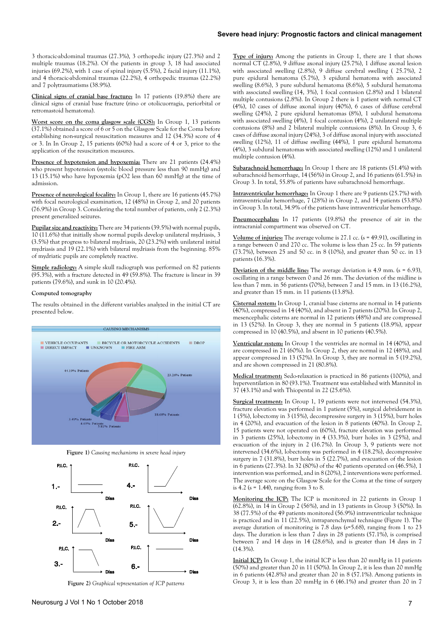# **Severe head injury: Prognostic factors and clinical management**

3 thoracic-abdominal traumas (27.3%), 3 orthopedic injury (27.3%) and 2 multiple traumas (18.2%). Of the patients in group 3, 18 had associated injuries  $(69.2\%)$ , with 1 case of spinal injury  $(5.5\%)$ , 2 facial injury  $(11.1\%)$ , and 4 thoracic-abdominal traumas (22.2%), 4 orthopedic traumas (22.2%) and 7 polytraumatisms (38.9%).

**Clinical signs of cranial base fracture:** In 17 patients (19.8%) there are clinical signs of cranial base fracture (rino or otolicuorragia, periorbital or retromastoid hematoma).

**Worst score on the coma glasgow scale (CGS):** In Group 1, 13 patients (37.1%) obtained a score of 6 or 5 on the Glasgow Scale for the Coma before establishing non-surgical resuscitation measures and 12 (34.3%) score of 4 or 3. In In Group 2, 15 patients (60%) had a score of 4 or 3, prior to the application of the resuscitation measures.

Presence of hypotension and hypoxemia: There are 21 patients (24.4%) who present hypotension (systolic blood pressure less than 90 mmHg) and 13 (15.1%) who have hypoxemia (pO2 less than 60 mmHg) at the time of admission.

Presence of neurological focality: In Group 1, there are 16 patients (45.7%) with focal neurological examination, 12 (48%) in Group 2, and 20 patients (76.9%) in Group 3. Considering the total number of patients, only 2 (2.3%) present generalized seizures.

**Pupilar size and reactivity:** There are 34 patients (39.5%) with normal pupils, 10 (11.6%) that initially show normal pupils develop unilateral mydriasis, 3 (3.5%) that progress to bilateral mydriasis, 20 (23.2%) with unilateral initial mydriasis and 19 (22.1%) with bilateral mydriasis from the beginning. 85% of mydriatic pupils are completely reactive.

**Simple radiology:** A simple skull radiograph was performed on 82 patients (95.3%), with a fracture detected in 49 (59.8%). The fracture is linear in 39 patients (79.6%), and sunk in 10 (20.4%).

## **Computed tomography**

The results obtained in the different variables analyzed in the initial CT are presented below.



**Figure 1)** *Causing mechanisms in severe head injury*



**Figure 2)** *Graphical representation of ICP patterns*

**Type of injury:** Among the patients in Group 1, there are 1 that shows normal CT (2.8%), 9 diffuse axonal injury (25.7%), 1 diffuse axonal lesion with associated swelling (2.8%), 9 diffuse cerebral swelling ( 25.7%), 2 pure epidural hematoma (5.7%), 3 epidural hematoma with associated swelling (8.6%), 3 pure subdural hematoma (8.6%), 5 subdural hematoma with associated swelling (14, 3%), 1 focal contusion (2.8%) and 1 bilateral multiple contusions (2.8%). In Group 2 there is 1 patient with normal CT (4%), 10 cases of diffuse axonal injury (40%), 6 cases of diffuse cerebral swelling (24%), 2 pure epidural hematomas (8%), 1 subdural hematoma with associated swelling (4%), 1 focal contusion (4%), 2 unilateral multiple contusions (8%) and  $\tilde{2}$  bilateral multiple contusions (8%). In Group 3, 6 cases of diffuse axonal injury (24%), 3 of diffuse axonal injury with associated swelling (12%), 11 of diffuse swelling (44%), 1 pure epidural hematoma (4%), 3 subdural hematomas with associated swelling (12%) and 1 unilateral multiple contusion (4%).

**Subarachnoid hemorrhage:** In Group 1 there are 18 patients (51.4%) with subarachnoid hemorrhage, 14 (56%) in Group 2, and 16 patients (61.5%) in Group 3. In total, 55.8% of patients have subarachnoid hemorrhage.

**Intraventricular hemorrhage:** In Group 1 there are 9 patients (25.7%) with intraventricular hemorrhage, 7 (28%) in Group 2, and 14 patients (53.8%) in Group 3. In total, 34.9% of the patients have intraventricular hemorrhage.

**Pneumocephalus:** In 17 patients (19.8%) the presence of air in the intracranial compartment was observed on CT.

**Volume of injuries:** The average volume is 27.1 cc. (s = 49.91), oscillating in a range between 0 and 270 cc. The volume is less than 25 cc. In 59 patients (73.7%), between 25 and 50 cc. in 8 (10%), and greater than 50 cc. in 13 patients (16.3%).

**Deviation of the middle line:** The average deviation is 4.9 mm. (s = 6.93), oscillating in a range between 0 and 26 mm. The deviation of the midline is less than 7 mm. in 56 patients (70%), between 7 and 15 mm. in 13 (16.2%), and greater than 15 mm. in 11 patients (13.8%).

**Cisternal system:** In Group 1, cranial base cisterns are normal in 14 patients (40%), compressed in 14 (40%), and absent in 7 patients (20%). In Group 2, mesencephalic cisterns are normal in 12 patients (48%) and are compressed in 13 (52%). In Group 3, they are normal in 5 patients (18.9%), appear compressed in 10 (40.5%), and absent in 10 patients (40.5%).

**Ventricular system:** In Group 1 the ventricles are normal in 14 (40%), and are compressed in 21 (60%). In Group 2, they are normal in 12 (48%), and appear compressed in 13 (52%). In Group 3, they are normal in 5 (19.2%), and are shown compressed in 21 (80.8%).

**Medical treatment:** Sedo-relaxation is practiced in 86 patients (100%), and hyperventilation in 80 (93.1%). Treatment was established with Mannitol in 37 (43.1%) and with Thiopental in 22 (25.6%).

**Surgical treatment:** In Group 1, 19 patients were not intervened (54.3%), fracture elevation was performed in 1 patient (5%), surgical debridement in 1 (5%), lobectomy in 3 (15%), decompressive surgery in 3 (15%), burr holes in 4 (20%), and evacuation of the lesion in 8 patients (40%). In Group 2, 15 patients were not operated on (60%), fracture elevation was performed in  $\overline{3}$  patients (25%), lobectomy in 4 (33.3%), burr holes in 3 (25%), and evacuation of the injury in 2 (16.7%). In Group 3, 9 patients were not intervened (34.6%), lobectomy was performed in 4 (18.2%), decompressive surgery in 7 (31.8%), burr holes in 5 (22.7%), and evacuation of the lesion in 6 patients (27.3%). In 32 (80%) of the 40 patients operated on (46.5%), 1 intervention was performed, and in 8 (20%), 2 interventions were performed. The average score on the Glasgow Scale for the Coma at the time of surgery is 4.2 (s = 1.44), ranging from 3 to 8.

**Monitoring the ICP:** The ICP is monitored in 22 patients in Group 1 (62.8%), in 14 in Group 2 (56%), and in 13 patients in Group 3 (50%). In 38 (77.5%) of the 49 patients monitored (56.9%) intraventricular technique is practiced and in 11 (22.5%), intraparenchymal technique (Figure 1). The average duration of monitoring is 7.8 days (s=5.68), ranging from 1 to 23 days. The duration is less than 7 days in 28 patients (57.1%), is comprised between 7 and 14 days in 14 (28.6%), and is greater than 14 days in 7 (14.3%).

**Initial ICP:** In Group 1, the initial ICP is less than 20 mmHg in 11 patients (50%) and greater than 20 in 11 (50%). In Group 2, it is less than 20 mmHg in 6 patients (42.8%) and greater than 20 in 8 (57.1%). Among patients in Group 3, it is less than 20 mmHg in 6 (46.1%) and greater than 20 in 7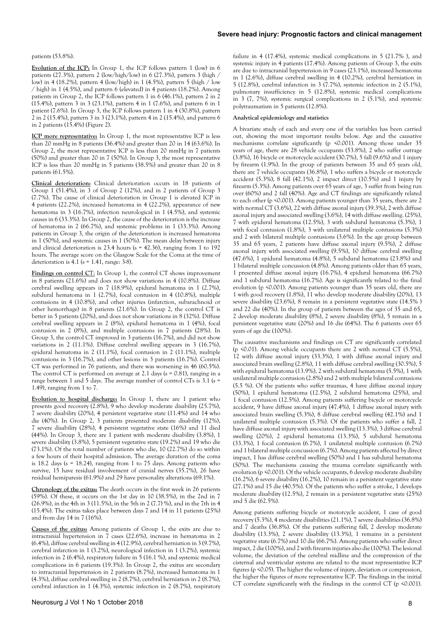#### patients (53.8%).

**Evolution of the ICP:** In Group 1, the ICP follows pattern 1 (low) in 6 patients (27.3%), pattern 2 (low/high/low) in 6 (27.3%), pattern 3 (high / low) in 4 (18.2%), pattern 4 (low/high) in 1 (4.5%), pattern 5 (high / low  $/$  high) in 1 (4.5%), and pattern 6 (elevated) in 4 patients (18.2%). Among patients in Group 2, the ICP follows pattern 1 in 6 (46.1%), pattern 2 in 2 (15.4%), pattern 3 in 3 (23.1%), pattern 4 in 1 (7.6%), and pattern 6 in 1 patient (7.6%). In Group 3, the ICP follows pattern 1 in 4 (30.8%), pattern 2 in 2 (15.4%), pattern 3 in 3 (23.1%), pattern 4 in 2 (15.4%), and pattern 6 in 2 patients (15.4%) (Figure 2).

**ICP more representative:** In Group 1, the most representative ICP is less than 20 mmHg in 8 patients (36.4%) and greater than 20 in 14 (63.6%). In Group 2, the most representative ICP is less than 20 mmHg in 7 patients (50%) and greater than 20 in 7 (50%). In Group 3, the most representative ICP is less than 20 mmHg in 5 patients (38.5%) and greater than 20 in 8 patients (61.5%).

**Clinical deterioration:** Clinical deterioration occurs in 18 patients of Group 1 (51.4%), in 3 of Group 2 (12%), and in 2 patients of Group 3 (7.7%). The cause of clinical deterioration in Group 1 is elevated ICP in 4 patients (22.2%), increased hematoma in 4 (22.2%), appearance of new hematoma in 3 (16.7%), infection neurological in 1 (4.5%), and systemic causes in 6 (33.3%). In Group 2, the cause of the deterioration is the increase of hematoma in 2 (66.7%), and systemic problems in 1 (33.3%). Among patients in Group 3, the origin of the deterioration is increased hematoma in 1 (50%), and systemic causes in 1 (50%). The mean delay between injury and clinical deterioration is 23.4 hours (s = 42.36), ranging from 1 to 192 hours. The average score on the Glasgow Scale for the Coma at the time of deterioration is  $4.1$  ( $s = 1.41$ , range: 3-8).

Findings on control CT: In Group 1, the control CT shows improvement in 8 patients (21.6%) and does not show variations in 4 (10.8%). Diffuse cerebral swelling appears in 7 (18.9%), epidural hematoma in 1 (2.7%), subdural hematoma in 1 (2.7%), focal contusion in 4 (10.8%), multiple contusions in 4 (10.8%), and other injuries (infarction, subarachnoid or other hemorrhage) in 8 patients (21.6%). In Group 2, the control CT is better in 5 patients (20%), and does not show variations in 8 (32%). Diffuse cerebral swelling appears in 2 (8%), epidural hematoma in 1 (4%), focal contusion in 2 (8%), and multiple contusions in 7 patients (28%). In Group 3, the control CT improved in 3 patients (16.7%), and did not show variations in 2 (11.1%). Diffuse cerebral swelling appears in 3 (16.7%), epidural hematoma in 2 (11.1%), focal contusion in 2 (11.1%), multiple contusions in 3 (16.7%), and other lesions in 3 patients (16.7%). Control CT was performed in 76 patients, and there was worsening in 46 (60.5%). The control CT is performed on average at 2.1 days ( $s = 0.81$ ), ranging in a range between 1 and 5 days. The average number of control CTs is 3.1 (s = 1.49), ranging from 1 to 7.

**Evolution to hospital discharge:** In Group 1, there are 1 patient who presents good recovery (2.8%), 9 who develop moderate disability (25.7%), 7 severe disability (20%), 4 persistent vegetative state (11.4%) and 14 who die (40%). In Group 2, 3 patients presented moderate disability (12%), 7 severe disability (28%), 4 persistent vegetative state (16%) and 11 died (44%). In Group 3, there are 1 patient with moderate disability (3.8%), 1 severe disability (3.8%), 5 persistent vegetative state (19.2%) and 19 who die (73.1%). Of the total number of patients who die, 10 (22.7%) do so within a few hours of their hospital admission. The average duration of the coma is  $18.2$  days (s = 18.24), ranging from 1 to 75 days. Among patients who survive, 15 have residual involvement of cranial nerves (35.7%), 26 have residual hemiparesis (61.9%) and 29 have personality alterations (69.1%).

**Chronology of the exitus:** The death occurs in the first week in 26 patients (59%). Of these, it occurs on the 1st day in 10 (38.5%), in the 2nd in 7 (26.9%), in the 4th in 3 (11.5%), in the 5th in 2 (7.7) %), and in the 7th in 4 (15.4%). The exitus takes place between days 7 and 14 in 11 patients (25%) and from day 14 in 7 (16%).

**Causes of the exitus:** Among patients of Group 1, the exits are due to intracranial hypertension in 7 cases (22.6%), increase in hematoma in 2 (6.4%), diffuse cerebral swelling in 4 (12.9%), cerebral herniation in 3 (9.7%), cerebral infarction in 1 (3.2%), neurological infection in 1 (3.2%), systemic infection in 2 (6.4%), respiratory failure in 5 (16.1 %), and systemic medical complications in 6 patients (19.3%). In Group 2, the exitus are secondary to intracranial hypertension in 2 patients (8.7%), increased hematoma in 1 (4.3%), diffuse cerebral swelling in 2 (8.7%), cerebral herniation in 2 (8.7%), cerebral infarction in 1 (4.3%), systemic infection in 2 (8.7%), respiratory

failure in 4 (17.4%), systemic medical complications in 5 (21.7% ), and systemic injury in 4 patients (17.4%). Among patients of Group 3, the exits are due to intracranial hypertension in 9 cases (23.1%), increased hematoma in 1 (2.6%), diffuse cerebral swelling in 4 (10.2%), cerebral herniation in 5 (12.8%), cerebral infarction in 3 (7.7%), systemic infection in 2 (5.1%), pulmonary insufficiency in 5 (12.8%), systemic medical complications in 3 (7, 7%), systemic surgical complications in 2 (5.1%), and systemic polytraumatism in 5 patients (12.8%).

## **Analytical epidemiology and statistics**

A bivariate study of each and every one of the variables has been carried out, showing the most important results below. Age and the causative mechanisms correlate significantly (p <0.001). Among those under 35 years of age, there are 28 vehicle occupants (53.8%), 2 who suffer outrage (3.8%), 16 bicycle or motorcycle accident (30.7%), 5 fall (9.6%) and 1 injury by firearm (1.9%). In the group of patients between 35 and 65 years old, there are 7 vehicle occupants (36.8%), 1 who suffers a bicycle or motorcycle accident  $(5.3\%)$ , 8 fall  $(42.1\%)$ , 2 impact direct  $(10.5\%)$  and 1 injury by firearm (5.3%). Among patients over 65 years of age, 3 suffer from being run over (60%) and 2 fall (40%). Age and CT findings are significantly related to each other (p <0.001). Among patients younger than 35 years, there are 2 with normal CT (3.6%), 22 with diffuse axonal injury (39.3%), 2 with diffuse axonal injury and associated swelling (3.6%), 14 with diffuse swelling. (25%), 7 with epidural hematoma (12.5%), 3 with subdural hematoma (5.3%), 1 with focal contusion (1.8%), 3 with unilateral multiple contusions (5.3%) and 2 with bilateral multiple contusions (3.6%). In the age group between 35 and 65 years, 2 patients have diffuse axonal injury (9.5%), 2 diffuse axonal injury with associated swelling (9.5%), 10 diffuse cerebral swelling (47.6%), 1 epidural hematoma (4.8%), 5 subdural hematoma (23.8%) and 1 bilateral multiple concussion (4.8%). Among patients older than 65 years, 1 presented diffuse axonal injury (16.7%), 4 epidural hematoma (66.7%) and 1 subdural hematoma (16.7%). Age is significantly related to the final evolution (p <0.001). Among patients younger than 35 years old, there are 1 with good recovery (1.8%), 11 who develop moderate disability (20%), 13 severe disability (23.6%), 8 remain in a persistent vegetative state (14.5% ) and 22 die (40%). In the group of patients between the ages of 35 and 65, 2 develop moderate disability (8%), 2 severe disability (8%), 5 remain in a persistent vegetative state (20%) and 16 die (64%). The 6 patients over 65 years of age die (100%).

The causative mechanisms and findings on CT are significantly correlated (p <0.01). Among vehicle occupants there are 2 with normal CT (5.5%), 12 with diffuse axonal injury (33.3%), 1 with diffuse axonal injury and associated brain swelling (2.8%), 11 with diffuse cerebral swelling (30.5%), 5 with epidural hematoma (13.9%), 2 with subdural hematoma (5.5%), 1 with unilateral multiple contusion (2.8%) and 2 with multiple bilateral contusions (5.5 %). Of the patients who suffer traumas, 4 have diffuse axonal injury (50%), 1 epidural hematoma (12.5%), 2 subdural hematoma (25%), and 1 focal contusion (12.5%). Among patients suffering bicycle or motorcycle accident, 9 have diffuse axonal injury (47.4%), 1 diffuse axonal injury with associated brain swelling (5.3%), 8 diffuse cerebral swelling (42.1%) and 1 unilateral multiple contusion (5.3%). Of the patients who suffer a fall, 2 have diffuse axonal injury with associated swelling (13.3%), 3 diffuse cerebral swelling (20%), 2 epidural hematoma (13.3%), 5 subdural hematoma (33.3%), 1 focal contusion (6.7%), 1 unilateral multiple contusion (6.7%) and 1 bilateral multiple concussion (6.7%). Among patients affected by direct impact, 1 has diffuse cerebral swelling (50%) and 1 has subdural hematoma (50%). The mechanisms causing the trauma correlate significantly with evolution (p <0.001). Of the vehicle occupants, 6 develop moderate disability (16.2%), 6 severe disability (16.2%), 10 remain in a persistent vegetative state (27.1%) and 15 die (40.5%). Of the patients who suffer a stroke, 1 develops moderate disability (12.5%), 2 remain in a persistent vegetative state (25%) and 5 die (62.5%).

Among patients suffering bicycle or motorcycle accident, 1 case of good recovery (5.3%), 4 moderate disabilities (21.1%), 7 severe disabilities (36.8%) and 7 deaths (36.8%). Of the patients suffering fall, 2 develop moderate disability (13.3%), 2 severe disability (13.3%), 1 remains in a persistent vegetative state (6.7%) and 10 die (66.7%). Among patients who suffer direct impact, 2 die (100%), and 2 with firearm injuries also die (100%). The lesional volume, the deviation of the cerebral midline and the compression of the cisternal and ventricular systems are related to the most representative ICP figures (p <0.05). The higher the volume of injury, deviation or compression, the higher the figures of more representative ICP. The findings in the initial CT correlate significantly with the findings in the control CT (p <0.001).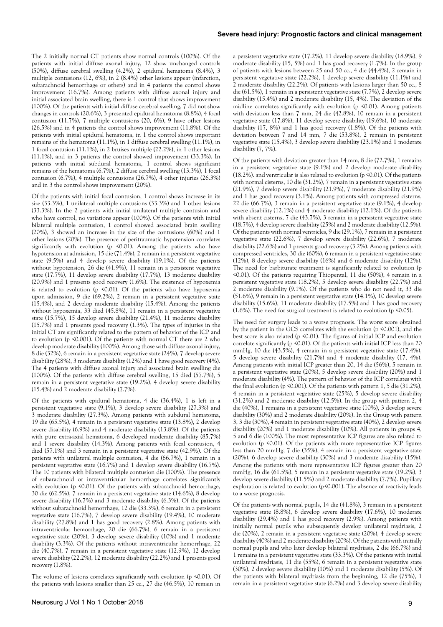The 2 initially normal CT patients show normal controls (100%). Of the patients with initial diffuse axonal injury, 12 show unchanged controls (50%), diffuse cerebral swelling (4.2%), 2 epidural hematoma (8.4%), 3 multiple contusions (12, 6%), in 2 (8.4%) other lesions appear (infarction, subarachnoid hemorrhage or others) and in 4 patients the control shows improvement (16.7%). Among patients with diffuse axonal injury and initial associated brain swelling, there is 1 control that shows improvement (100%). Of the patients with initial diffuse cerebral swelling, 7 did not show changes in controls (20.6%), 3 presented epidural hematoma (8.8%), 4 focal contusion (11.7%), 7 multiple contusions (20, 6%), 9 have other lesions (26.5%) and in 4 patients the control shows improvement (11.8%). Of the patients with initial epidural hematoma, in 1 the control shows important remains of the hematoma (11.1%), in 1 diffuse cerebral swelling (11.1%), in 1 focal contusion (11.1%), in 2 bruises multiple (22.2%), in 1 other lesions (11.1%), and in 3 patients the control showed improvement (33.3%). In patients with initial subdural hematoma, 1 control shows significant remains of the hematoma (6.7%), 2 diffuse cerebral swelling (13.3%), 1 focal contusion (6.7%), 4 multiple contusions (26.7%), 4 other injuries (26.3%) and in 3 the control shows improvement (20%).

Of the patients with initial focal contusion, 1 control shows increase in its size (33.3%), 1 unilateral multiple contusions (33.3%) and 1 other lesions (33.3%). In the 2 patients with initial unilateral multiple contusion and who have control, no variations appear (100%). Of the patients with initial bilateral multiple contusion, 1 control showed associated brain swelling (20%), 3 showed an increase in the size of the contusions (60%) and 1 other lesions (20%). The presence of peritraumatic hypotension correlates significantly with evolution (p  $\leq 0.01$ ). Among the patients who have hypotension at admission, 15 die (71.4%), 2 remain in a persistent vegetative state (9.5%) and 4 develop severe disability (19.1%). Of the patients without hypotension, 26 die (41.9%), 11 remain in a persistent vegetative state (17.7%), 11 develop severe disability (17.7%), 13 moderate disability (20.9%) and 1 presents good recovery (1.6%). The existence of hypoxemia is related to evolution (p <0.01). Of the patients who have hypoxemia upon admission, 9 die (69.2%), 2 remain in a persistent vegetative state (15.4%), and 2 develop moderate disability (15.4%). Among the patients without hypoxemia, 33 died (45.8%), 11 remain in a persistent vegetative state (15.7%), 15 develop severe disability (21.4%), 11 moderate disability (15.7%) and 1 presents good recovery (1.3%). The types of injuries in the initial CT are significantly related to the pattern of behavior of the ICP and to evolution (p <0.001). Of the patients with normal CT there are 2 who develop moderate disability (100%). Among those with diffuse axonal injury, 8 die (32%), 6 remain in a persistent vegetative state (24%), 7 develop severe disability (28%), 3 moderate disability (12%) and 1 have good recovery (4%). The 4 patients with diffuse axonal injury and associated brain swelling die (100%). Of the patients with diffuse cerebral swelling, 15 died (57.7%), 5 remain in a persistent vegetative state (19.2%), 4 develop severe disability (15.4%) and 2 moderate disability (7.7%).

Of the patients with epidural hematoma, 4 die (36.4%), 1 is left in a persistent vegetative state (9.1%), 3 develop severe disability (27.3%) and 3 moderate disability (27.3%). Among patients with subdural hematoma, 19 die (65.5%), 4 remain in a persistent vegetative state (13.8%), 2 develop severe disability (6.9%) and 4 moderate disability (13.8%). Of the patients with pure extra-axial hematoma, 6 developed moderate disability (85.7%) and 1 severe disability (14.3%). Among patients with focal contusion, 4 died (57.1%) and 3 remain in a persistent vegetative state (42.9%). Of the patients with unilateral multiple contusion, 4 die (66.7%), 1 remain in a persistent vegetative state (16.7%) and 1 develop severe disability (16.7%). The 10 patients with bilateral multiple contusion die (100%). The presence of subarachnoid or intraventricular hemorrhage correlates significantly with evolution ( $p \le 0.01$ ). Of the patients with subarachnoid hemorrhage, 30 die (62.5%), 7 remain in a persistent vegetative state (14.6%), 8 develop severe disability (16.7%) and 3 moderate disability (6.3%). Of the patients without subarachnoid hemorrhage, 12 die (33.3%), 6 remain in a persistent vegetative state (16.7%), 7 develop severe disability (19.4%), 10 moderate disability (27.8%) and 1 has good recovery (2.8%). Among patients with intraventricular hemorrhage, 20 die (66.7%), 6 remain in a persistent vegetative state (20%), 3 develop severe disability (10%) and 1 moderate disability (3.3%). Of the patients without intraventricular hemorrhage, 22 die (40.7%), 7 remain in a persistent vegetative state (12.9%), 12 develop severe disability (22.2%), 12 moderate disability (22.2%) and 1 presents good recovery (1.8%).

The volume of lesions correlates significantly with evolution ( $p \le 0.01$ ). Of the patients with lesions smaller than 25 cc., 27 die (46.5%), 10 remain in

a persistent vegetative state (17.2%), 11 develop severe disability (18.9%), 9 moderate disability (15, 5%) and 1 has good recovery (1.7%). In the group of patients with lesions between 25 and 50 cc., 4 die (44.4%), 2 remain in persistent vegetative state (22.2%), 1 develop severe disability (11.1%) and 2 moderate disability (22.2%). Of patients with lesions larger than 50 cc., 8 die (61.5%), 1 remain in a persistent vegetative state (7.7%), 2 develop severe disability (15.4%) and 2 moderate disability (15, 4%). The deviation of the midline correlates significantly with evolution ( $p \le 0.01$ ). Among patients with deviation less than 7 mm, 24 die (42.8%), 10 remain in a persistent vegetative state (17.8%), 11 develop severe disability (19.6%), 10 moderate disability (17, 8%) and 1 has good recovery (1.8%). Of the patients with deviation between 7 and 14 mm, 7 die (53.8%), 2 remain in persistent vegetative state (15.4%), 3 develop severe disability (23.1%) and 1 moderate disability (7, 7%).

Of the patients with deviation greater than 14 mm, 8 die (72.7%), 1 remains in a persistent vegetative state (9.1%) and 2 develop moderate disability (18.2%). and ventricular is also related to evolution (p <0.01). Of the patients with normal cisterns, 10 die (31.2%), 7 remain in a persistent vegetative state (21.9%), 7 develop severe disability (21.9%), 7 moderate disability (21.9%) and 1 has good recovery (3.1%). Among patients with compressed cisterns, 22 die (66.7%), 3 remain in a persistent vegetative state (9.1%), 4 develop severe disability (12.1%) and 4 moderate disability (12.1%). Of the patients with absent cisterns, 7 die (43.7%), 3 remain in a persistent vegetative state (18.7%), 4 develop severe disability (25%) and 2 moderate disability (12.5%). Of the patients with normal ventricles, 9 die (29.1%), 7 remain in a persistent vegetative state (22.6%), 7 develop severe disability (22.6%), 7 moderate disability (22.6%) and 1 presents good recovery (3.2%). Among patients with compressed ventricles, 30 die (60%), 6 remain in a persistent vegetative state (12%), 8 develop severe disability (16%) and 6 moderate disability (12%). The need for barbiturate treatment is significantly related to evolution (p <0.01). Of the patients requiring Thiopental, 11 die (50%), 4 remain in a persistent vegetative state (18.2%), 5 develop severe disability (22.7%) and 2 moderate disability (9.1%). Of the patients who do not need it, 33 die (51.6%), 9 remain in a persistent vegetative state (14.1%), 10 develop severe disability (15.6%), 11 moderate disability (17.5%) and 1 has good recovery (1.6%). The need for surgical treatment is related to evolution ( $p \le 0.05$ ).

The need for surgery leads to a worse prognosis. The worst score obtained by the patient in the GCS correlates with the evolution (p <0.001), and the best score is also related (p <0.01). The figures of initial ICP and evolution correlate significantly (p <0.01). Of the patients with initial ICP less than 20 mmHg, 10 die (43.5%), 4 remain in a persistent vegetative state (17.4%), 5 develop severe disability (21.7%) and 4 moderate disability (17, 4%). Among patients with initial ICP greater than 20, 14 die (56%), 5 remain in a persistent vegetative state (20%), 5 develop severe disability (20%) and 1 moderate disability (4%). The pattern of behavior of the ICP correlates with the final evolution (p <0.001). Of the patients with pattern 1, 5 die (31.2%), 4 remain in a persistent vegetative state (25%), 5 develop severe disability (31.2%) and 2 moderate disability (12.5%). In the group with pattern 2, 4 die (40%), 1 remains in a persistent vegetative state (10%), 3 develop severe disability (30%) and 2 moderate disability (20%). In the Group with pattern 3, 3 die (30%), 4 remain in persistent vegetative state (40%), 2 develop severe disability (20%) and 1 moderate disability (10%). All patients in groups 4, 5 and 6 die (100%). The most representative ICP figures are also related to evolution (p <0.01). Of the patients with more representative ICP figures less than 20 mmHg, 7 die (35%), 4 remain in a persistent vegetative state (20%), 6 develop severe disability (30%) and 3 moderate disability (15%). Among the patients with more representative ICP figures greater than 20 mmHg, 16 die (61.5%), 5 remain in a persistent vegetative state (19.2%), 3 develop severe disability (11.5%) and 2 moderate disability (7.7%). Pupillary exploration is related to evolution (p<0.001). The absence of reactivity leads to a worse prognosis.

Of the patients with normal pupils, 14 die (41.8%), 3 remain in a persistent vegetative state (8.8%), 6 develop severe disability (17.6%), 10 moderate disability (29.4%) and 1 has good recovery (2.9%). Among patients with initially normal pupils who subsequently develop unilateral mydriasis, 2 die (20%), 2 remain in a persistent vegetative state (20%), 4 develop severe disability (40%) and 2 moderate disability (20%). Of the patients with initially normal pupils and who later develop bilateral mydriasis, 2 die (66.7%) and 1 remains in a persistent vegetative state (33.3%). Of the patients with initial unilateral mydriasis, 11 die (55%), 6 remain in a persistent vegetative state (30%), 2 develop severe disability (10%) and 1 moderate disability (5%). Of the patients with bilateral mydriasis from the beginning, 12 die (75%), 1 remain in a persistent vegetative state (6.2%) and 3 develop severe disability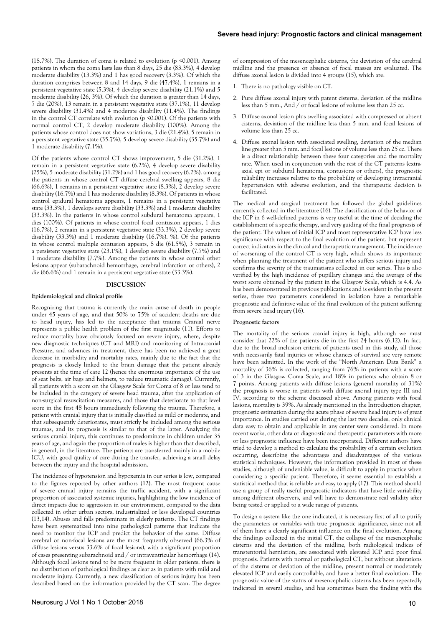(18.7%). The duration of coma is related to evolution (p  $\leq 0.001$ ). Among patients in whom the coma lasts less than 8 days, 25 die (83.3%), 4 develop moderate disability (13.3%) and 1 has good recovery (3.3%). Of which the duration comprises between 8 and 14 days, 9 die (47.4%), 1 remains in a persistent vegetative state (5.3%), 4 develop severe disability (21.1%) and 5 moderate disability (26, 3%). Of which the duration is greater than 14 days, 7 die (20%), 13 remain in a persistent vegetative state (37.1%), 11 develop severe disability (31.4%) and 4 moderate disability (11.4%). The findings in the control CT correlate with evolution (p <0.001). Of the patients with normal control CT, 2 develop moderate disability (100%). Among the patients whose control does not show variations, 3 die (21.4%), 5 remain in a persistent vegetative state (35.7%), 5 develop severe disability (35.7%) and 1 moderate disability (7.1%).

Of the patients whose control CT shows improvement, 5 die (31.2%), 1 remain in a persistent vegetative state (6.2%), 4 develop severe disability (25%), 5 moderate disability (31.2%) and 1 has good recovery (6.2%). among the patients in whose control CT diffuse cerebral swelling appears, 8 die (66.6%), 1 remains in a persistent vegetative state (8.3%), 2 develop severe disability (16.7%) and 1 has moderate disability (8.3%). Of patients in whose control epidural hematoma appears, 1 remains in a persistent vegetative state (33.3%), 1 develops severe disability (33.3%) and 1 moderate disability (33.3%). In the patients in whose control subdural hematoma appears, 1 dies (100%). Of patients in whose control focal contusion appears, 1 dies (16.7%), 2 remain in a persistent vegetative state (33.3%), 2 develop severe disability (33.3%) and 1 moderate disability (16.7%). %). Of the patients in whose control multiple contusion appears, 8 die (61.5%), 3 remain in a persistent vegetative state (23.1%), 1 develop severe disability (7.7%) and 1 moderate disability (7.7%). Among the patients in whose control other lesions appear (subarachnoid hemorrhage, cerebral infarction or others), 2 die (66.6%) and 1 remain in a persistent vegetative state (33.3%).

#### **DISCUSSION**

#### **Epidemiological and clinical profile**

Recognizing that trauma is currently the main cause of death in people under 45 years of age, and that 50% to 75% of accident deaths are due to head injury, has led to the acceptance that trauma Cranial nerve represents a public health problem of the first magnitude (11). Efforts to reduce mortality have obviously focused on severe injury, where, despite new diagnostic techniques (CT and MRI) and monitoring of Intracranial Pressure, and advances in treatment, there has been no achieved a great decrease in morbidity and mortality rates, mainly due to the fact that the prognosis is closely linked to the brain damage that the patient already presents at the time of care 12 (hence the enormous importance of the use of seat belts, air bags and helmets, to reduce traumatic damage). Currently, all patients with a score on the Glasgow Scale for Coma of 8 or less tend to be included in the category of severe head trauma, after the application of non-surgical resuscitation measures, and those that deteriorate to that level score in the first 48 hours immediately following the trauma. Therefore, a patient with cranial injury that is initially classified as mild or moderate, and that subsequently deteriorates, must strictly be included among the serious traumas, and its prognosis is similar to that of the latter. Analyzing the serious cranial injury, this continues to predominate in children under 35 years of age, and again the proportion of males is higher than that described, in general, in the literature. The patients are transferred mainly in a mobile ICU, with good quality of care during the transfer, achieving a small delay between the injury and the hospital admission.

The incidence of hypotension and hypoxemia in our series is low, compared to the figures reported by other authors (12). The most frequent cause of severe cranial injury remains the traffic accident, with a significant proportion of associated systemic injuries, highlighting the low incidence of direct impacts due to aggression in our environment, compared to the data collected in other urban sectors, industrialized or less developed countries (13,14). Abuses and falls predominate in elderly patients. The CT findings have been systematized into nine pathological patterns that indicate the need to monitor the ICP and predict the behavior of the same. Diffuse cerebral or non-focal lesions are the most frequently observed (66.3% of diffuse lesions versus 33.6% of focal lesions), with a significant proportion of cases presenting subarachnoid and / or intraventricular hemorrhage (14). Although focal lesions tend to be more frequent in older patients, there is no distribution of pathological findings as clear as in patients with mild and moderate injury. Currently, a new classification of serious injury has been described based on the information provided by the CT scan. The degree of compression of the mesencephalic cisterns, the deviation of the cerebral midline and the presence or absence of focal masses are evaluated. The diffuse axonal lesion is divided into 4 groups (15), which are:

- 1. There is no pathology visible on CT.
- 2. Pure diffuse axonal injury with patent cisterns, deviation of the midline less than 5 mm., And / or focal lesions of volume less than 25 cc.
- 3. Diffuse axonal lesion plus swelling associated with compressed or absent cisterns, deviation of the midline less than 5 mm. and focal lesions of volume less than 25 cc.
- 4. Diffuse axonal lesion with associated swelling, deviation of the median line greater than 5 mm. and focal lesions of volume less than 25 cc. There is a direct relationship between these four categories and the mortality rate. When used in conjunction with the rest of the CT patterns (extraaxial epi or subdural hematoma, contusions or others), the prognostic reliability increases relative to the probability of developing intracranial hypertension with adverse evolution, and the therapeutic decision is facilitated.

The medical and surgical treatment has followed the global guidelines currently collected in the literature (16). The classification of the behavior of the ICP in 6 well-defined patterns is very useful at the time of deciding the establishment of a specific therapy, and very guiding of the final prognosis of the patient. The values of initial ICP and most representative ICP have less significance with respect to the final evolution of the patient, but represent correct indicators in the clinical and therapeutic management. The incidence of worsening of the control CT is very high, which shows its importance when planning the treatment of the patient who suffers serious injury and confirms the severity of the traumatisms collected in our series. This is also verified by the high incidence of pupillary changes and the average of the worst score obtained by the patient in the Glasgow Scale, which is 4.4. As has been demonstrated in previous publications and is evident in the present series, these two parameters considered in isolation have a remarkable prognostic and definitive value of the final evolution of the patient suffering from severe head injury (16).

### **Prognostic factors**

The mortality of the serious cranial injury is high, although we must consider that 22% of the patients die in the first 24 hours (6,12). In fact, due to the broad inclusion criteria of patients used in this study, all those with necessarily fatal injuries or whose chances of survival are very remote have been admitted. In the work of the "North American Data Bank" a mortality of 36% is collected, ranging from 76% in patients with a score of 3 in the Glasgow Coma Scale, and 18% in patients who obtain 8 or 7 points. Among patients with diffuse lesions (general mortality of 31%) the prognosis is worse in patients with diffuse axonal injury type III and IV, according to the scheme discussed above. Among patients with focal lesions, mortality is 39%. As already mentioned in the Introduction chapter, prognostic estimation during the acute phase of severe head injury is of great importance. In studies carried out during the last two decades, only clinical data easy to obtain and applicable in any center were considered. In more recent works, other data or diagnostic and therapeutic parameters with more or less prognostic influence have been incorporated. Different authors have tried to develop a method to calculate the probability of a certain evolution occurring, describing the advantages and disadvantages of the various statistical techniques. However, the information provided in most of these studies, although of undeniable value, is difficult to apply in practice when considering a specific patient. Therefore, it seems essential to establish a statistical method that is reliable and easy to apply (17). This method should use a group of really useful prognostic indicators that have little variability among different observers, and will have to demonstrate real validity after being tested or applied to a wide range of patients.

To design a system like the one indicated, it is necessary first of all to purify the parameters or variables with true prognostic significance, since not all of them have a clearly significant influence on the final evolution. Among the findings collected in the initial CT, the collapse of the mesencephalic cisterns and the deviation of the midline, both radiological indices of transtentorial herniation, are associated with elevated ICP and poor final prognosis. Patients with normal or pathological CT, but without alterations of the cisterns or deviation of the midline, present normal or moderately elevated ICP and easily controllable, and have a better final evolution. The prognostic value of the status of mesencephalic cisterns has been repeatedly indicated in several studies, and has sometimes been the finding with the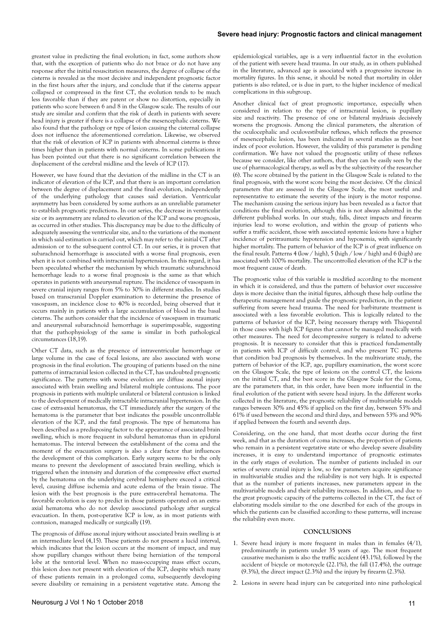greatest value in predicting the final evolution; in fact, some authors show that, with the exception of patients who do not brace or do not have any response after the initial resuscitation measures, the degree of collapse of the cisterns is revealed as the most decisive and independent prognostic factor in the first hours after the injury, and conclude that if the cisterns appear collapsed or compressed in the first CT, the evolution tends to be much less favorable than if they are patent or show no distortion, especially in patients who score between 6 and 8 in the Glasgow scale. The results of our study are similar and confirm that the risk of death in patients with severe head injury is greater if there is a collapse of the mesencephalic cisterns. We also found that the pathology or type of lesion causing the cisternal collapse does not influence the aforementioned correlation. Likewise, we observed that the risk of elevation of ICP in patients with abnormal cisterns is three times higher than in patients with normal cisterns. In some publications it has been pointed out that there is no significant correlation between the displacement of the cerebral midline and the levels of ICP (17).

However, we have found that the deviation of the midline in the CT is an indicator of elevation of the ICP, and that there is an important correlation between the degree of displacement and the final evolution, independently of the underlying pathology that causes said deviation. Ventricular asymmetry has been considered by some authors as an unreliable parameter to establish prognostic predictions. In our series, the decrease in ventricular size or its asymmetry are related to elevation of the ICP and worse prognosis, as occurred in other studies. This discrepancy may be due to the difficulty of adequately assessing the ventricular size, and to the variations of the moment in which said estimation is carried out, which may refer to the initial CT after admission or to the subsequent control CT. In our series, it is proven that subarachnoid hemorrhage is associated with a worse final prognosis, even when it is not combined with intracranial hypertension. In this regard, it has been speculated whether the mechanism by which traumatic subarachnoid hemorrhage leads to a worse final prognosis is the same as that which operates in patients with aneurysmal rupture. The incidence of vasospasm in severe cranial injury ranges from 5% to 30% in different studies. In studies based on transcranial Doppler examination to determine the presence of vasospasm, an incidence close to 40% is recorded, being observed that it occurs mainly in patients with a large accumulation of blood in the basal cisterns. The authors consider that the incidence of vasospasm in traumatic and aneurysmal subarachnoid hemorrhage is superimposable, suggesting that the pathophysiology of the same is similar in both pathological circumstances (18,19).

Other CT data, such as the presence of intraventricular hemorrhage or large volume in the case of focal lesions, are also associated with worse prognosis in the final evolution. The grouping of patients based on the nine patterns of intracranial lesion collected in the CT, has undoubted prognostic significance. The patterns with worse evolution are diffuse axonal injury associated with brain swelling and bilateral multiple contusions. The poor prognosis in patients with multiple unilateral or bilateral contusion is linked to the development of medically intractable intracranial hypertension. In the case of extra-axial hematomas, the CT immediately after the surgery of the hematoma is the parameter that best indicates the possible uncontrollable elevation of the ICP, and the fatal prognosis. The type of hematoma has been described as a predisposing factor to the appearance of associated brain swelling, which is more frequent in subdural hematomas than in epidural hematomas. The interval between the establishment of the coma and the moment of the evacuation surgery is also a clear factor that influences the development of this complication. Early surgery seems to be the only means to prevent the development of associated brain swelling, which is triggered when the intensity and duration of the compressive effect exerted by the hematoma on the underlying cerebral hemisphere exceed a critical level, causing diffuse ischemia and acute edema of the brain tissue. The lesion with the best prognosis is the pure extra-cerebral hematoma. The favorable evolution is easy to predict in those patients operated on an extraaxial hematoma who do not develop associated pathology after surgical evacuation. In them, post-operative ICP is low, as in most patients with contusion, managed medically or surgically (19).

The prognosis of diffuse axonal injury without associated brain swelling is at an intermediate level (4,15). These patients do not present a lucid interval, which indicates that the lesion occurs at the moment of impact, and may show pupillary changes without there being herniation of the temporal lobe at the tentorial level. When no mass-occupying mass effect occurs, this lesion does not present with elevation of the ICP, despite which many of these patients remain in a prolonged coma, subsequently developing severe disability or remaining in a persistent vegetative state. Among the

epidemiological variables, age is a very influential factor in the evolution of the patient with severe head trauma. In our study, as in others published in the literature, advanced age is associated with a progressive increase in mortality figures. In this sense, it should be noted that mortality in older patients is also related, or is due in part, to the higher incidence of medical complications in this subgroup.

Another clinical fact of great prognostic importance, especially when considered in relation to the type of intracranial lesion, is pupillary size and reactivity. The presence of one or bilateral mydriasis decisively worsens the prognosis. Among the clinical parameters, the alteration of the oculocephalic and oculovestibular reflexes, which reflects the presence of mesencephalic lesion, has been indicated in several studies as the best index of poor evolution. However, the validity of this parameter is pending confirmation. We have not valued the prognostic utility of these reflexes because we consider, like other authors, that they can be easily seen by the use of pharmacological therapy, as well as by the subjectivity of the researcher (6). The score obtained by the patient in the Glasgow Scale is related to the final prognosis, with the worst score being the most decisive. Of the clinical parameters that are assessed in the Glasgow Scale, the most useful and representative to estimate the severity of the injury is the motor response. The mechanism causing the serious injury has been revealed as a factor that conditions the final evolution, although this is not always admitted in the different published works. In our study, falls, direct impacts and firearm injuries lead to worse evolution, and within the group of patients who suffer a traffic accident, those with associated systemic lesions have a higher incidence of peritraumatic hypotension and hypoxemia, with significantly higher mortality. The pattern of behavior of the ICP is of great influence on the final result. Patterns 4 (low / high), 5 (high / low / high) and 6 (high) are associated with 100% mortality. The uncontrolled elevation of the ICP is the most frequent cause of death.

The prognostic value of this variable is modified according to the moment in which it is considered, and thus the pattern of behavior over successive days is more decisive than the initial figures, although these help outline the therapeutic management and guide the prognostic prediction, in the patient suffering from severe head trauma. The need for barbiturate treatment is associated with a less favorable evolution. This is logically related to the patterns of behavior of the ICP, being necessary therapy with Thiopental in those cases with high ICP figures that cannot be managed medically with other measures. The need for decompressive surgery is related to adverse prognosis. It is necessary to consider that this is practiced fundamentally in patients with ICP of difficult control, and who present TC patterns that condition bad prognosis by themselves. In the multivariate study, the pattern of behavior of the ICP, age, pupillary examination, the worst score on the Glasgow Scale, the type of lesions on the control CT, the lesions on the initial CT, and the best score in the Glasgow Scale for the Coma, are the parameters that, in this order, have been more influential in the final evolution of the patient with severe head injury. In the different works collected in the literature, the prognostic reliability of multivariable models ranges between 30% and 45% if applied on the first day, between 53% and 61% if used between the second and third days, and between 53% and 90% if applied between the fourth and seventh days.

Considering, on the one hand, that most deaths occur during the first week, and that as the duration of coma increases, the proportion of patients who remain in a persistent vegetative state or who develop severe disability increases, it is easy to understand importance of prognostic estimates in the early stages of evolution. The number of patients included in our series of severe cranial injury is low, so few parameters acquire significance in multivariable studies and the reliability is not very high. It is expected that as the number of patients increases, new parameters appear in the multivariable models and their reliability increases. In addition, and due to the great prognostic capacity of the patterns collected in the CT, the fact of elaborating models similar to the one described for each of the groups in which the patients can be classified according to these patterns, will increase the reliability even more.

#### **CONCLUSIONS**

- 1. Severe head injury is more frequent in males than in females (4/1), predominantly in patients under 35 years of age. The most frequent causative mechanism is also the traffic accident (43.1%), followed by the accident of bicycle or motorcycle (22.1%), the fall (17.4%), the outrage (9.3%), the direct impact (2.3%) and the injury by firearm (2.3%).
- 2. Lesions in severe head injury can be categorized into nine pathological